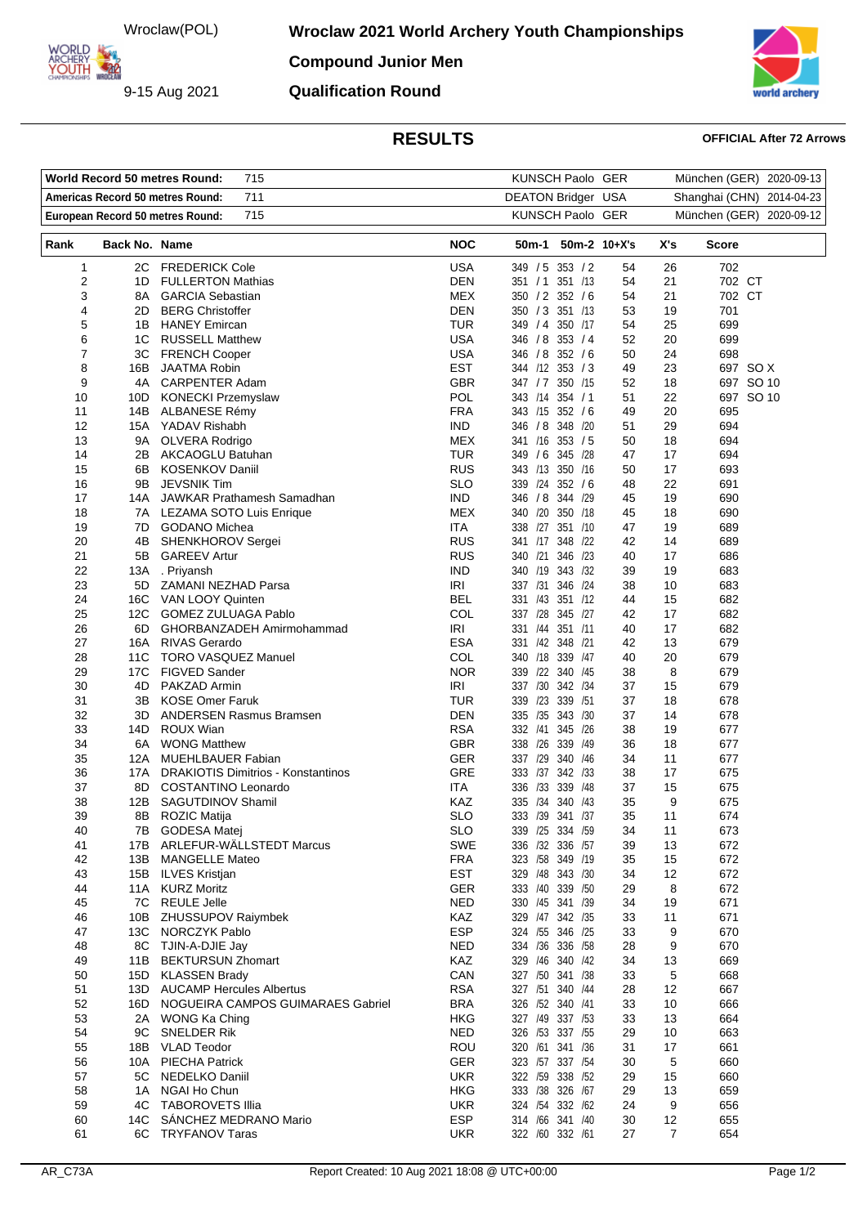Wroclaw(POL)

**Wroclaw 2021 World Archery Youth Championships** 

**ORLD** ARCHERY - 22

9-15 Aug 2021

**Compound Junior Men Qualification Round**



## **RESULTS OFFICIAL After 72 Arrows**

|          | <b>World Record 50 metres Round:</b> | KUNSCH Paolo GER                               |                          |                                     | München (GER) 2020-09-13 |          |                          |
|----------|--------------------------------------|------------------------------------------------|--------------------------|-------------------------------------|--------------------------|----------|--------------------------|
|          | Americas Record 50 metres Round:     | DEATON Bridger USA                             |                          | Shanghai (CHN) 2014-04-23           |                          |          |                          |
|          |                                      | 711<br>715<br>European Record 50 metres Round: |                          | KUNSCH Paolo GER                    |                          |          | München (GER) 2020-09-12 |
|          |                                      |                                                |                          |                                     |                          |          |                          |
| Rank     | <b>Back No. Name</b>                 |                                                | <b>NOC</b>               | 50m-1 50m-2 10+X's                  |                          | X's      | <b>Score</b>             |
| 1        |                                      | 2C FREDERICK Cole                              | <b>USA</b>               | 349 / 5 353 / 2                     | 54                       | 26       | 702                      |
| 2        | 1D                                   | <b>FULLERTON Mathias</b>                       | <b>DEN</b>               | 351 / 1 351 / 13                    | 54                       | 21       | 702 CT                   |
| 3        | 8A                                   | <b>GARCIA Sebastian</b>                        | MEX                      | 350 / 2 352 / 6                     | 54                       | 21       | 702 CT                   |
| 4        | 2D                                   | <b>BERG Christoffer</b>                        | <b>DEN</b>               | 350 / 3 351 /13                     | 53                       | 19       | 701                      |
| 5        |                                      | 1B HANEY Emircan                               | TUR                      | 349 / 4 350 /17                     | 54                       | 25       | 699                      |
| 6        |                                      | 1C RUSSELL Matthew                             | <b>USA</b>               | 346 / 8 353 / 4                     | 52                       | 20       | 699                      |
| 7        |                                      | 3C FRENCH Cooper                               | <b>USA</b>               | 346 / 8 352 / 6                     | 50                       | 24       | 698                      |
| 8        | 16B                                  | JAATMA Robin                                   | <b>EST</b><br><b>GBR</b> | 344 /12 353 / 3                     | 49                       | 23       | 697 SO X                 |
| 9        | 4A                                   | <b>CARPENTER Adam</b>                          | <b>POL</b>               | 347 / 7 350 / 15<br>343 /14 354 / 1 | 52                       | 18       | 697 SO 10                |
| 10<br>11 |                                      | 10D KONECKI Przemyslaw<br>14B ALBANESE Rémy    | <b>FRA</b>               | 343 /15 352 / 6                     | 51<br>49                 | 22<br>20 | 697 SO 10<br>695         |
| 12       |                                      | 15A YADAV Rishabh                              | <b>IND</b>               | 346 / 8 348 / 20                    | 51                       | 29       | 694                      |
| 13       | 9A                                   | OLVERA Rodrigo                                 | MEX                      | 341 /16 353 / 5                     | 50                       | 18       | 694                      |
| 14       | 2B                                   | <b>AKCAOGLU Batuhan</b>                        | <b>TUR</b>               | 349 / 6 345 /28                     | 47                       | 17       | 694                      |
| 15       | 6B                                   | <b>KOSENKOV Daniil</b>                         | <b>RUS</b>               | 343 /13 350 /16                     | 50                       | 17       | 693                      |
| 16       | 9Β                                   | <b>JEVSNIK Tim</b>                             | <b>SLO</b>               | 339 /24 352 / 6                     | 48                       | 22       | 691                      |
| 17       |                                      | 14A JAWKAR Prathamesh Samadhan                 | <b>IND</b>               | 346 / 8 344 / 29                    | 45                       | 19       | 690                      |
| 18       |                                      | 7A LEZAMA SOTO Luis Enrique                    | MEX                      | 340 /20<br>350 /18                  | 45                       | 18       | 690                      |
| 19       | 7D                                   | <b>GODANO Michea</b>                           | ITA                      | 338 /27 351 /10                     | 47                       | 19       | 689                      |
| 20       | 4B                                   | SHENKHOROV Sergei                              | <b>RUS</b>               | 341 /17 348 /22                     | 42                       | 14       | 689                      |
| 21       |                                      | 5B GAREEV Artur                                | <b>RUS</b>               | 340 /21<br>346 /23                  | 40                       | 17       | 686                      |
| 22       | 13A                                  | . Priyansh                                     | <b>IND</b>               | 340 /19 343 /32                     | 39                       | 19       | 683                      |
| 23       |                                      | 5D ZAMANI NEZHAD Parsa                         | IRI                      | 337 /31 346 /24                     | 38                       | 10       | 683                      |
| 24       |                                      | 16C VAN LOOY Quinten                           | <b>BEL</b>               | 331 /43 351 /12                     | 44                       | 15       | 682                      |
| 25       | 12C                                  | <b>GOMEZ ZULUAGA Pablo</b>                     | COL                      | 337 /28 345 /27                     | 42                       | 17       | 682                      |
| 26       | 6D                                   | GHORBANZADEH Amirmohammad                      | IRI                      | 331 /44 351 /11                     | 40                       | 17       | 682                      |
| 27       |                                      | 16A RIVAS Gerardo                              | <b>ESA</b>               | 331 /42 348 /21                     | 42                       | 13       | 679                      |
| 28       | 11C                                  | <b>TORO VASQUEZ Manuel</b>                     | COL                      | 340 /18 339 /47                     | 40                       | 20       | 679                      |
| 29       |                                      | 17C FIGVED Sander                              | <b>NOR</b>               | 339 /22 340 /45                     | 38                       | 8        | 679                      |
| 30       | 4D                                   | PAKZAD Armin                                   | <b>IRI</b>               | 337 /30<br>342 /34                  | 37                       | 15       | 679                      |
| 31       | 3В.                                  | <b>KOSE Omer Faruk</b>                         | TUR                      | 339 /23 339 /51                     | 37                       | 18       | 678                      |
| 32       | 3D.                                  | ANDERSEN Rasmus Bramsen                        | <b>DEN</b>               | 335 /35<br>343 /30                  | 37                       | 14       | 678                      |
| 33       | 14D                                  | <b>ROUX Wian</b>                               | <b>RSA</b>               | 332 /41 345 /26                     | 38                       | 19       | 677                      |
| 34       |                                      | 6A WONG Matthew                                | <b>GBR</b>               | 338 /26 339<br>/49                  | 36                       | 18       | 677                      |
| 35       | 12A                                  | <b>MUEHLBAUER Fabian</b>                       | GER                      | 337 /29<br>340 /46                  | 34                       | 11       | 677                      |
| 36       | 17A                                  | <b>DRAKIOTIS Dimitrios - Konstantinos</b>      | <b>GRE</b>               | 333 /37 342 /33                     | 38                       | 17       | 675                      |
| 37       | 8D                                   | COSTANTINO Leonardo                            | <b>ITA</b>               | 336 /33 339 /48                     | 37                       | 15       | 675                      |
| 38       | 12B                                  | <b>SAGUTDINOV Shamil</b>                       | KAZ                      | 335 /34 340 /43                     | 35                       | 9        | 675                      |
| 39       |                                      | 8B ROZIC Matija                                | <b>SLO</b>               | 333 /39 341 /37                     | 35                       | 11       | 674                      |
| 40       |                                      | 7B GODESA Matej                                | <b>SLO</b>               | 339 /25 334 /59                     | 34                       | 11       | 673                      |
| 41       |                                      | 17B ARLEFUR-WÄLLSTEDT Marcus                   | <b>SWE</b>               | 336 /32 336 /57                     | 39                       | 13       | 672                      |
| 42       |                                      | 13B MANGELLE Mateo                             | <b>FRA</b>               | 323 /58 349 /19                     | 35                       | 15       | 672                      |
| 43       |                                      | 15B ILVES Kristjan                             | <b>EST</b>               | 329 /48 343 /30                     | 34                       | 12       | 672                      |
| 44       |                                      | 11A KURZ Moritz                                | <b>GER</b>               | 333 /40 339 /50                     | 29                       | 8        | 672                      |
| 45       |                                      | 7C REULE Jelle                                 | <b>NED</b>               | 330 /45 341 /39                     | 34                       | 19       | 671                      |
| 46       | 10B                                  | ZHUSSUPOV Raiymbek                             | KAZ                      | 329 /47 342 /35                     | 33                       | 11       | 671                      |
| 47       | 13C                                  | NORCZYK Pablo                                  | <b>ESP</b>               | 324 /55 346 /25                     | 33                       | 9        | 670                      |
| 48       |                                      | 8C TJIN-A-DJIE Jay                             | <b>NED</b>               | 334 /36 336 /58                     | 28                       | 9        | 670                      |
| 49       |                                      | 11B BEKTURSUN Zhomart                          | KAZ                      | 329 /46 340 /42                     | 34                       | 13       | 669                      |
| 50       |                                      | 15D KLASSEN Brady                              | CAN                      | 327 /50 341 /38                     | 33                       | 5        | 668                      |
| 51       |                                      | 13D AUCAMP Hercules Albertus                   | <b>RSA</b>               | 327 /51 340 /44                     | 28                       | 12       | 667                      |
| 52       |                                      | 16D NOGUEIRA CAMPOS GUIMARAES Gabriel          | <b>BRA</b>               | 326 /52 340 /41                     | 33                       | 10       | 666                      |
| 53       |                                      | 2A WONG Ka Ching                               | <b>HKG</b>               | 327 /49 337 /53                     | 33                       | 13       | 664                      |
| 54       | 9C                                   | SNELDER Rik                                    | <b>NED</b>               | 326 /53 337 /55                     | 29                       | 10       | 663                      |
| 55       |                                      | 18B VLAD Teodor                                | ROU                      | 320 /61 341 /36                     | 31                       | 17       | 661                      |
| 56       | 10A                                  | <b>PIECHA Patrick</b>                          | <b>GER</b>               | 323 /57 337 /54                     | 30                       | 5        | 660                      |
| 57<br>58 | 1A                                   | 5C NEDELKO Daniil<br>NGAI Ho Chun              | <b>UKR</b><br><b>HKG</b> | 322 /59 338 /52<br>333 /38 326 /67  | 29<br>29                 | 15<br>13 | 660<br>659               |
| 59       |                                      | 4C TABOROVETS Illia                            | <b>UKR</b>               | 324 /54 332 /62                     | 24                       | 9        | 656                      |
| 60       | 14C                                  | SANCHEZ MEDRANO Mario                          | <b>ESP</b>               | 314 /66 341 /40                     | 30                       | 12       | 655                      |
| 61       |                                      | 6C TRYFANOV Taras                              | <b>UKR</b>               | 322 /60 332 /61                     | 27                       | 7        | 654                      |
|          |                                      |                                                |                          |                                     |                          |          |                          |